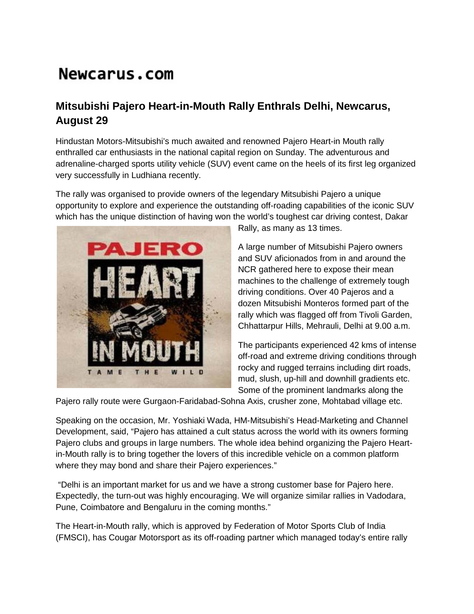## Newcarus.com

## **Mitsubishi Pajero Heart-in-Mouth Rally Enthrals Delhi, Newcarus, August 29**

Hindustan Motors-Mitsubishi's much awaited and renowned Pajero Heart-in Mouth rally enthralled car enthusiasts in the national capital region on Sunday. The adventurous and adrenaline-charged sports utility vehicle (SUV) event came on the heels of its first leg organized very successfully in Ludhiana recently.

The rally was organised to provide owners of the legendary Mitsubishi Pajero a unique opportunity to explore and experience the outstanding off-roading capabilities of the iconic SUV which has the unique distinction of having won the world's toughest car driving contest, Dakar



Rally, as many as 13 times.

A large number of Mitsubishi Pajero owners and SUV aficionados from in and around the NCR gathered here to expose their mean machines to the challenge of extremely tough driving conditions. Over 40 Pajeros and a dozen Mitsubishi Monteros formed part of the rally which was flagged off from Tivoli Garden, Chhattarpur Hills, Mehrauli, Delhi at 9.00 a.m.

The participants experienced 42 kms of intense off-road and extreme driving conditions through rocky and rugged terrains including dirt roads, mud, slush, up-hill and downhill gradients etc. Some of the prominent landmarks along the

Pajero rally route were Gurgaon-Faridabad-Sohna Axis, crusher zone, Mohtabad village etc.

Speaking on the occasion, Mr. Yoshiaki Wada, HM-Mitsubishi's Head-Marketing and Channel Development, said, "Pajero has attained a cult status across the world with its owners forming Pajero clubs and groups in large numbers. The whole idea behind organizing the Pajero Heartin-Mouth rally is to bring together the lovers of this incredible vehicle on a common platform where they may bond and share their Pajero experiences."

"Delhi is an important market for us and we have a strong customer base for Pajero here. Expectedly, the turn-out was highly encouraging. We will organize similar rallies in Vadodara, Pune, Coimbatore and Bengaluru in the coming months."

The Heart-in-Mouth rally, which is approved by Federation of Motor Sports Club of India (FMSCI), has Cougar Motorsport as its off-roading partner which managed today's entire rally